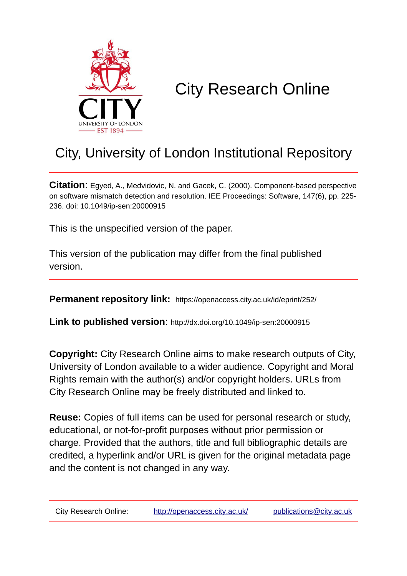

# City Research Online

## City, University of London Institutional Repository

**Citation**: Egyed, A., Medvidovic, N. and Gacek, C. (2000). Component-based perspective on software mismatch detection and resolution. IEE Proceedings: Software, 147(6), pp. 225- 236. doi: 10.1049/ip-sen:20000915

This is the unspecified version of the paper.

This version of the publication may differ from the final published version.

**Permanent repository link:** https://openaccess.city.ac.uk/id/eprint/252/

**Link to published version**: http://dx.doi.org/10.1049/ip-sen:20000915

**Copyright:** City Research Online aims to make research outputs of City, University of London available to a wider audience. Copyright and Moral Rights remain with the author(s) and/or copyright holders. URLs from City Research Online may be freely distributed and linked to.

**Reuse:** Copies of full items can be used for personal research or study, educational, or not-for-profit purposes without prior permission or charge. Provided that the authors, title and full bibliographic details are credited, a hyperlink and/or URL is given for the original metadata page and the content is not changed in any way.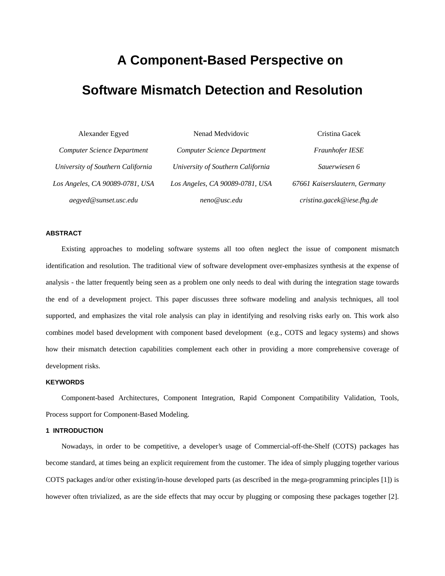## **A Component-Based Perspective on**

### **Software Mismatch Detection and Resolution**

| Alexander Egyed                    | Nenad Medvidovic                   | Cristina Gacek                |
|------------------------------------|------------------------------------|-------------------------------|
| <b>Computer Science Department</b> | <b>Computer Science Department</b> | Fraunhofer IESE               |
| University of Southern California  | University of Southern California  | Sauerwiesen 6                 |
| Los Angeles, CA 90089-0781, USA    | Los Angeles, CA 90089-0781, USA    | 67661 Kaiserslautern, Germany |
| aegyed@sunset.usc.edu              | neno@usc.edu                       | $c$ ristina.gacek@iese.fhg.de |

#### **ABSTRACT**

Existing approaches to modeling software systems all too often neglect the issue of component mismatch identification and resolution. The traditional view of software development over-emphasizes synthesis at the expense of analysis - the latter frequently being seen as a problem one only needs to deal with during the integration stage towards the end of a development project. This paper discusses three software modeling and analysis techniques, all tool supported, and emphasizes the vital role analysis can play in identifying and resolving risks early on. This work also combines model based development with component based development (e.g., COTS and legacy systems) and shows how their mismatch detection capabilities complement each other in providing a more comprehensive coverage of development risks.

#### **KEYWORDS**

Component-based Architectures, Component Integration, Rapid Component Compatibility Validation, Tools, Process support for Component-Based Modeling.

#### **1 INTRODUCTION**

Nowadays, in order to be competitive, a developer's usage of Commercial-off-the-Shelf (COTS) packages has become standard, at times being an explicit requirement from the customer. The idea of simply plugging together various COTS packages and/or other existing/in-house developed parts (as described in the mega-programming principles [1]) is however often trivialized, as are the side effects that may occur by plugging or composing these packages together [2].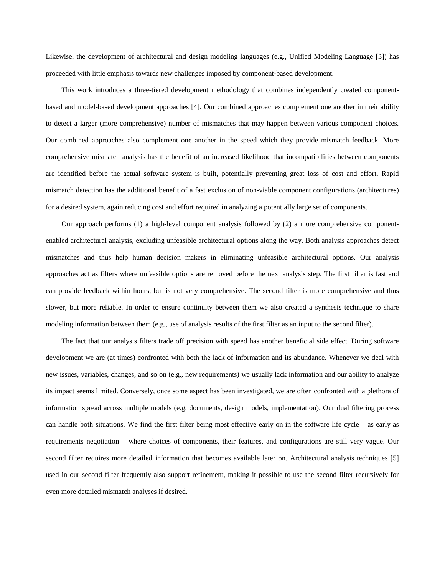Likewise, the development of architectural and design modeling languages (e.g., Unified Modeling Language [3]) has proceeded with little emphasis towards new challenges imposed by component-based development.

This work introduces a three-tiered development methodology that combines independently created componentbased and model-based development approaches [4]. Our combined approaches complement one another in their ability to detect a larger (more comprehensive) number of mismatches that may happen between various component choices. Our combined approaches also complement one another in the speed which they provide mismatch feedback. More comprehensive mismatch analysis has the benefit of an increased likelihood that incompatibilities between components are identified before the actual software system is built, potentially preventing great loss of cost and effort. Rapid mismatch detection has the additional benefit of a fast exclusion of non-viable component configurations (architectures) for a desired system, again reducing cost and effort required in analyzing a potentially large set of components.

Our approach performs (1) a high-level component analysis followed by (2) a more comprehensive componentenabled architectural analysis, excluding unfeasible architectural options along the way. Both analysis approaches detect mismatches and thus help human decision makers in eliminating unfeasible architectural options. Our analysis approaches act as filters where unfeasible options are removed before the next analysis step. The first filter is fast and can provide feedback within hours, but is not very comprehensive. The second filter is more comprehensive and thus slower, but more reliable. In order to ensure continuity between them we also created a synthesis technique to share modeling information between them (e.g., use of analysis results of the first filter as an input to the second filter).

The fact that our analysis filters trade off precision with speed has another beneficial side effect. During software development we are (at times) confronted with both the lack of information and its abundance. Whenever we deal with new issues, variables, changes, and so on (e.g., new requirements) we usually lack information and our ability to analyze its impact seems limited. Conversely, once some aspect has been investigated, we are often confronted with a plethora of information spread across multiple models (e.g. documents, design models, implementation). Our dual filtering process can handle both situations. We find the first filter being most effective early on in the software life cycle – as early as requirements negotiation – where choices of components, their features, and configurations are still very vague. Our second filter requires more detailed information that becomes available later on. Architectural analysis techniques [5] used in our second filter frequently also support refinement, making it possible to use the second filter recursively for even more detailed mismatch analyses if desired.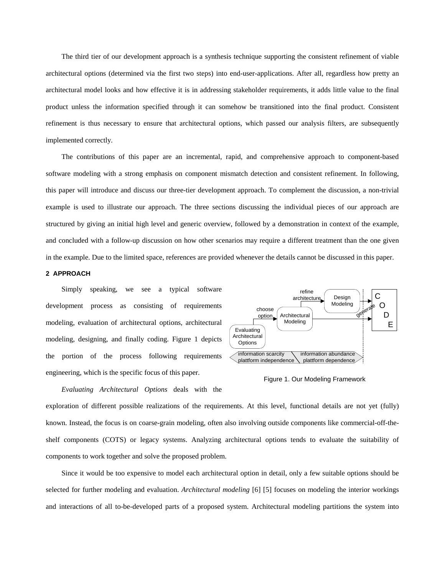The third tier of our development approach is a synthesis technique supporting the consistent refinement of viable architectural options (determined via the first two steps) into end-user-applications. After all, regardless how pretty an architectural model looks and how effective it is in addressing stakeholder requirements, it adds little value to the final product unless the information specified through it can somehow be transitioned into the final product. Consistent refinement is thus necessary to ensure that architectural options, which passed our analysis filters, are subsequently implemented correctly.

The contributions of this paper are an incremental, rapid, and comprehensive approach to component-based software modeling with a strong emphasis on component mismatch detection and consistent refinement. In following, this paper will introduce and discuss our three-tier development approach. To complement the discussion, a non-trivial example is used to illustrate our approach. The three sections discussing the individual pieces of our approach are structured by giving an initial high level and generic overview, followed by a demonstration in context of the example, and concluded with a follow-up discussion on how other scenarios may require a different treatment than the one given in the example. Due to the limited space, references are provided whenever the details cannot be discussed in this paper.

#### **2 APPROACH**

Simply speaking, we see a typical software development process as consisting of requirements modeling, evaluation of architectural options, architectural modeling, designing, and finally coding. Figure 1 depicts the portion of the process following requirements engineering, which is the specific focus of this paper.

*Evaluating Architectural Options* deals with the

Architectural Modeling Evaluating **Architectural** Options choose option information scarcity plattform independence Design Modeling refine architecture Design | C O D E information abundance plattform dependence generate

Figure 1. Our Modeling Framework

exploration of different possible realizations of the requirements. At this level, functional details are not yet (fully) known. Instead, the focus is on coarse-grain modeling, often also involving outside components like commercial-off-theshelf components (COTS) or legacy systems. Analyzing architectural options tends to evaluate the suitability of components to work together and solve the proposed problem.

Since it would be too expensive to model each architectural option in detail, only a few suitable options should be selected for further modeling and evaluation. *Architectural modeling* [6] [5] focuses on modeling the interior workings and interactions of all to-be-developed parts of a proposed system. Architectural modeling partitions the system into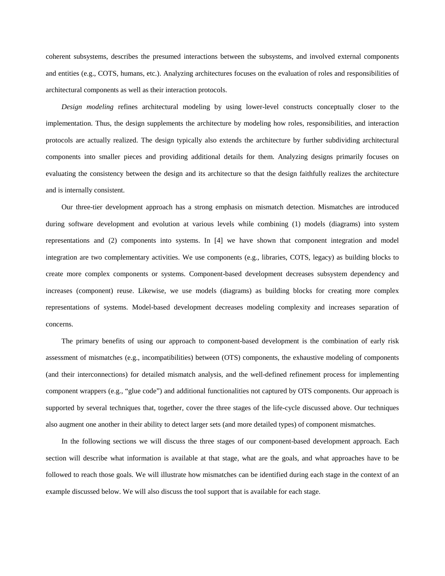coherent subsystems, describes the presumed interactions between the subsystems, and involved external components and entities (e.g., COTS, humans, etc.). Analyzing architectures focuses on the evaluation of roles and responsibilities of architectural components as well as their interaction protocols.

*Design modeling* refines architectural modeling by using lower-level constructs conceptually closer to the implementation. Thus, the design supplements the architecture by modeling how roles, responsibilities, and interaction protocols are actually realized. The design typically also extends the architecture by further subdividing architectural components into smaller pieces and providing additional details for them. Analyzing designs primarily focuses on evaluating the consistency between the design and its architecture so that the design faithfully realizes the architecture and is internally consistent.

Our three-tier development approach has a strong emphasis on mismatch detection. Mismatches are introduced during software development and evolution at various levels while combining (1) models (diagrams) into system representations and (2) components into systems. In [4] we have shown that component integration and model integration are two complementary activities. We use components (e.g., libraries, COTS, legacy) as building blocks to create more complex components or systems. Component-based development decreases subsystem dependency and increases (component) reuse. Likewise, we use models (diagrams) as building blocks for creating more complex representations of systems. Model-based development decreases modeling complexity and increases separation of concerns.

The primary benefits of using our approach to component-based development is the combination of early risk assessment of mismatches (e.g., incompatibilities) between (OTS) components, the exhaustive modeling of components (and their interconnections) for detailed mismatch analysis, and the well-defined refinement process for implementing component wrappers (e.g., "glue code") and additional functionalities not captured by OTS components. Our approach is supported by several techniques that, together, cover the three stages of the life-cycle discussed above. Our techniques also augment one another in their ability to detect larger sets (and more detailed types) of component mismatches.

In the following sections we will discuss the three stages of our component-based development approach. Each section will describe what information is available at that stage, what are the goals, and what approaches have to be followed to reach those goals. We will illustrate how mismatches can be identified during each stage in the context of an example discussed below. We will also discuss the tool support that is available for each stage.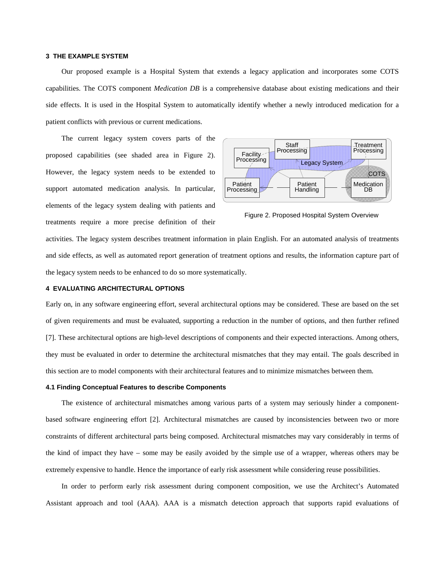#### **3 THE EXAMPLE SYSTEM**

Our proposed example is a Hospital System that extends a legacy application and incorporates some COTS capabilities. The COTS component *Medication DB* is a comprehensive database about existing medications and their side effects. It is used in the Hospital System to automatically identify whether a newly introduced medication for a patient conflicts with previous or current medications.

The current legacy system covers parts of the proposed capabilities (see shaded area in Figure 2). However, the legacy system needs to be extended to support automated medication analysis. In particular, elements of the legacy system dealing with patients and treatments require a more precise definition of their



Figure 2. Proposed Hospital System Overview

activities. The legacy system describes treatment information in plain English. For an automated analysis of treatments and side effects, as well as automated report generation of treatment options and results, the information capture part of the legacy system needs to be enhanced to do so more systematically.

#### **4 EVALUATING ARCHITECTURAL OPTIONS**

Early on, in any software engineering effort, several architectural options may be considered. These are based on the set of given requirements and must be evaluated, supporting a reduction in the number of options, and then further refined [7]. These architectural options are high-level descriptions of components and their expected interactions. Among others, they must be evaluated in order to determine the architectural mismatches that they may entail. The goals described in this section are to model components with their architectural features and to minimize mismatches between them.

#### **4.1 Finding Conceptual Features to describe Components**

The existence of architectural mismatches among various parts of a system may seriously hinder a componentbased software engineering effort [2]. Architectural mismatches are caused by inconsistencies between two or more constraints of different architectural parts being composed. Architectural mismatches may vary considerably in terms of the kind of impact they have – some may be easily avoided by the simple use of a wrapper, whereas others may be extremely expensive to handle. Hence the importance of early risk assessment while considering reuse possibilities.

In order to perform early risk assessment during component composition, we use the Architect's Automated Assistant approach and tool (AAA). AAA is a mismatch detection approach that supports rapid evaluations of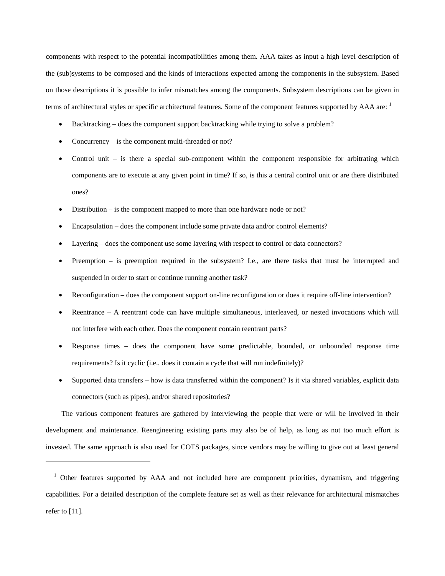components with respect to the potential incompatibilities among them. AAA takes as input a high level description of the (sub)systems to be composed and the kinds of interactions expected among the components in the subsystem. Based on those descriptions it is possible to infer mismatches among the components. Subsystem descriptions can be given in terms of architectural styles or specific architectural features. Some of the component features supported by  $AAA$  are:  $1$ 

- Backtracking does the component support backtracking while trying to solve a problem?
- Concurrency  $-$  is the component multi-threaded or not?

 $\overline{a}$ 

- Control unit  $-$  is there a special sub-component within the component responsible for arbitrating which components are to execute at any given point in time? If so, is this a central control unit or are there distributed ones?
- Distribution is the component mapped to more than one hardware node or not?
- Encapsulation does the component include some private data and/or control elements?
- Layering does the component use some layering with respect to control or data connectors?
- Preemption is preemption required in the subsystem? I.e., are there tasks that must be interrupted and suspended in order to start or continue running another task?
- Reconfiguration does the component support on-line reconfiguration or does it require off-line intervention?
- Reentrance A reentrant code can have multiple simultaneous, interleaved, or nested invocations which will not interfere with each other. Does the component contain reentrant parts?
- Response times does the component have some predictable, bounded, or unbounded response time requirements? Is it cyclic (i.e., does it contain a cycle that will run indefinitely)?
- Supported data transfers how is data transferred within the component? Is it via shared variables, explicit data connectors (such as pipes), and/or shared repositories?

The various component features are gathered by interviewing the people that were or will be involved in their development and maintenance. Reengineering existing parts may also be of help, as long as not too much effort is invested. The same approach is also used for COTS packages, since vendors may be willing to give out at least general

<sup>&</sup>lt;sup>1</sup> Other features supported by AAA and not included here are component priorities, dynamism, and triggering capabilities. For a detailed description of the complete feature set as well as their relevance for architectural mismatches refer to [11].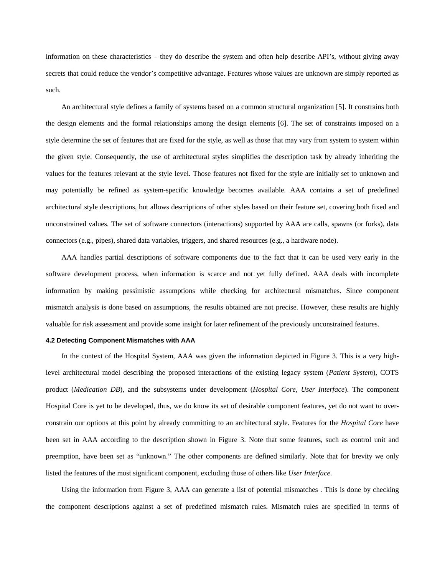information on these characteristics – they do describe the system and often help describe API's, without giving away secrets that could reduce the vendor's competitive advantage. Features whose values are unknown are simply reported as such.

An architectural style defines a family of systems based on a common structural organization [5]. It constrains both the design elements and the formal relationships among the design elements [6]. The set of constraints imposed on a style determine the set of features that are fixed for the style, as well as those that may vary from system to system within the given style. Consequently, the use of architectural styles simplifies the description task by already inheriting the values for the features relevant at the style level. Those features not fixed for the style are initially set to unknown and may potentially be refined as system-specific knowledge becomes available. AAA contains a set of predefined architectural style descriptions, but allows descriptions of other styles based on their feature set, covering both fixed and unconstrained values. The set of software connectors (interactions) supported by AAA are calls, spawns (or forks), data connectors (e.g., pipes), shared data variables, triggers, and shared resources (e.g., a hardware node).

AAA handles partial descriptions of software components due to the fact that it can be used very early in the software development process, when information is scarce and not yet fully defined. AAA deals with incomplete information by making pessimistic assumptions while checking for architectural mismatches. Since component mismatch analysis is done based on assumptions, the results obtained are not precise. However, these results are highly valuable for risk assessment and provide some insight for later refinement of the previously unconstrained features.

#### **4.2 Detecting Component Mismatches with AAA**

In the context of the Hospital System, AAA was given the information depicted in Figure 3. This is a very highlevel architectural model describing the proposed interactions of the existing legacy system (*Patient System*), COTS product (*Medication DB*), and the subsystems under development (*Hospital Core, User Interface*). The component Hospital Core is yet to be developed, thus, we do know its set of desirable component features, yet do not want to overconstrain our options at this point by already committing to an architectural style. Features for the *Hospital Core* have been set in AAA according to the description shown in Figure 3. Note that some features, such as control unit and preemption, have been set as "unknown." The other components are defined similarly. Note that for brevity we only listed the features of the most significant component, excluding those of others like *User Interface*.

Using the information from Figure 3, AAA can generate a list of potential mismatches . This is done by checking the component descriptions against a set of predefined mismatch rules. Mismatch rules are specified in terms of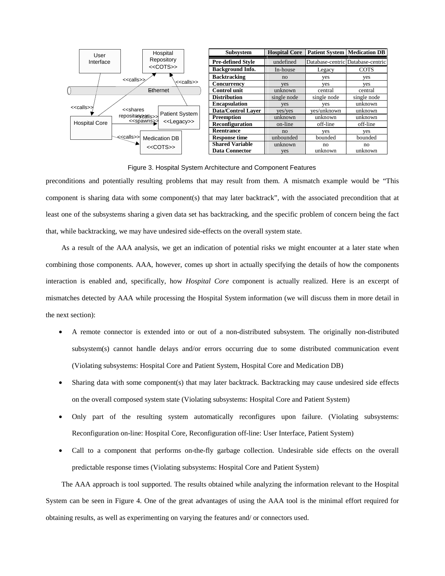

Figure 3. Hospital System Architecture and Component Features

preconditions and potentially resulting problems that may result from them. A mismatch example would be "This component is sharing data with some component(s) that may later backtrack", with the associated precondition that at least one of the subsystems sharing a given data set has backtracking, and the specific problem of concern being the fact that, while backtracking, we may have undesired side-effects on the overall system state.

As a result of the AAA analysis, we get an indication of potential risks we might encounter at a later state when combining those components. AAA, however, comes up short in actually specifying the details of how the components interaction is enabled and, specifically, how *Hospital Core* component is actually realized. Here is an excerpt of mismatches detected by AAA while processing the Hospital System information (we will discuss them in more detail in the next section):

- A remote connector is extended into or out of a non-distributed subsystem. The originally non-distributed subsystem(s) cannot handle delays and/or errors occurring due to some distributed communication event (Violating subsystems: Hospital Core and Patient System, Hospital Core and Medication DB)
- Sharing data with some component(s) that may later backtrack. Backtracking may cause undesired side effects on the overall composed system state (Violating subsystems: Hospital Core and Patient System)
- Only part of the resulting system automatically reconfigures upon failure. (Violating subsystems: Reconfiguration on-line: Hospital Core, Reconfiguration off-line: User Interface, Patient System)
- Call to a component that performs on-the-fly garbage collection. Undesirable side effects on the overall predictable response times (Violating subsystems: Hospital Core and Patient System)

The AAA approach is tool supported. The results obtained while analyzing the information relevant to the Hospital System can be seen in Figure 4. One of the great advantages of using the AAA tool is the minimal effort required for obtaining results, as well as experimenting on varying the features and/ or connectors used.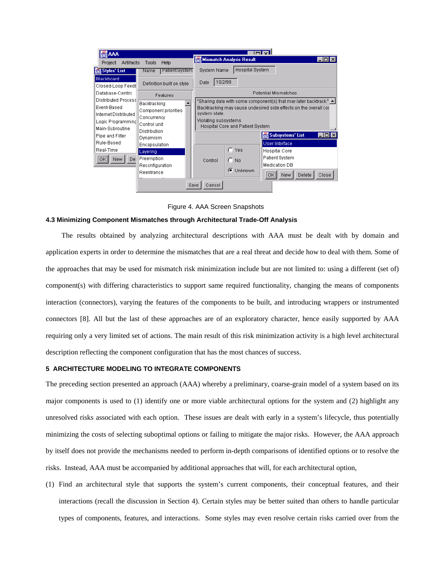

Figure 4. AAA Screen Snapshots

#### **4.3 Minimizing Component Mismatches through Architectural Trade-Off Analysis**

The results obtained by analyzing architectural descriptions with AAA must be dealt with by domain and application experts in order to determine the mismatches that are a real threat and decide how to deal with them. Some of the approaches that may be used for mismatch risk minimization include but are not limited to: using a different (set of) component(s) with differing characteristics to support same required functionality, changing the means of components interaction (connectors), varying the features of the components to be built, and introducing wrappers or instrumented connectors [8]. All but the last of these approaches are of an exploratory character, hence easily supported by AAA requiring only a very limited set of actions. The main result of this risk minimization activity is a high level architectural description reflecting the component configuration that has the most chances of success.

#### **5 ARCHITECTURE MODELING TO INTEGRATE COMPONENTS**

The preceding section presented an approach (AAA) whereby a preliminary, coarse-grain model of a system based on its major components is used to (1) identify one or more viable architectural options for the system and (2) highlight any unresolved risks associated with each option. These issues are dealt with early in a system's lifecycle, thus potentially minimizing the costs of selecting suboptimal options or failing to mitigate the major risks. However, the AAA approach by itself does not provide the mechanisms needed to perform in-depth comparisons of identified options or to resolve the risks. Instead, AAA must be accompanied by additional approaches that will, for each architectural option,

(1) Find an architectural style that supports the system's current components, their conceptual features, and their interactions (recall the discussion in Section 4). Certain styles may be better suited than others to handle particular types of components, features, and interactions. Some styles may even resolve certain risks carried over from the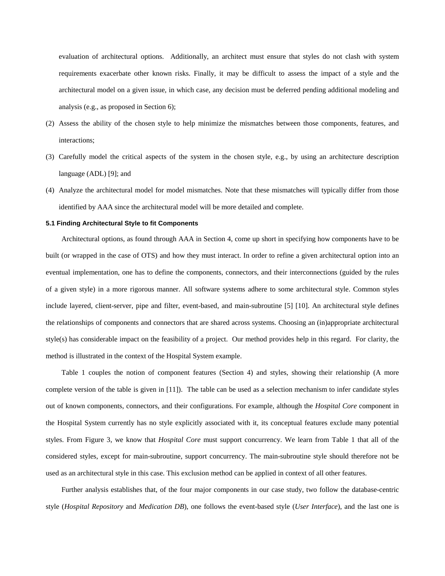evaluation of architectural options. Additionally, an architect must ensure that styles do not clash with system requirements exacerbate other known risks. Finally, it may be difficult to assess the impact of a style and the architectural model on a given issue, in which case, any decision must be deferred pending additional modeling and analysis (e.g., as proposed in Section 6);

- (2) Assess the ability of the chosen style to help minimize the mismatches between those components, features, and interactions;
- (3) Carefully model the critical aspects of the system in the chosen style, e.g., by using an architecture description language (ADL) [9]; and
- (4) Analyze the architectural model for model mismatches. Note that these mismatches will typically differ from those identified by AAA since the architectural model will be more detailed and complete.

#### **5.1 Finding Architectural Style to fit Components**

Architectural options, as found through AAA in Section 4, come up short in specifying how components have to be built (or wrapped in the case of OTS) and how they must interact. In order to refine a given architectural option into an eventual implementation, one has to define the components, connectors, and their interconnections (guided by the rules of a given style) in a more rigorous manner. All software systems adhere to some architectural style. Common styles include layered, client-server, pipe and filter, event-based, and main-subroutine [5] [10]. An architectural style defines the relationships of components and connectors that are shared across systems. Choosing an (in)appropriate architectural style(s) has considerable impact on the feasibility of a project. Our method provides help in this regard. For clarity, the method is illustrated in the context of the Hospital System example.

Table 1 couples the notion of component features (Section 4) and styles, showing their relationship (A more complete version of the table is given in [11]). The table can be used as a selection mechanism to infer candidate styles out of known components, connectors, and their configurations. For example, although the *Hospital Core* component in the Hospital System currently has no style explicitly associated with it, its conceptual features exclude many potential styles. From Figure 3, we know that *Hospital Core* must support concurrency. We learn from Table 1 that all of the considered styles, except for main-subroutine, support concurrency. The main-subroutine style should therefore not be used as an architectural style in this case. This exclusion method can be applied in context of all other features.

Further analysis establishes that, of the four major components in our case study, two follow the database-centric style (*Hospital Repository* and *Medication DB*), one follows the event-based style (*User Interface*), and the last one is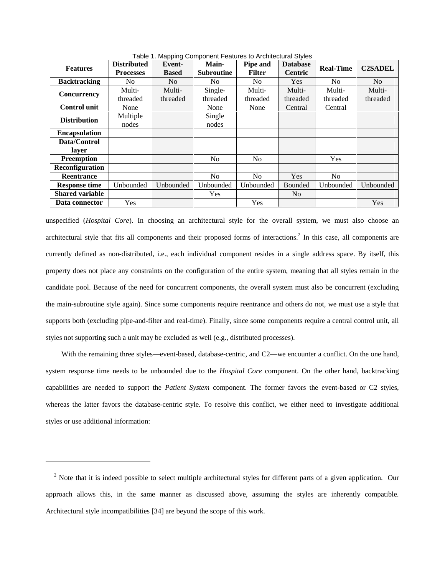| <b>Features</b>        | <b>Distributed</b><br><b>Processes</b> | Event-<br><b>Based</b> | Main-<br><b>Subroutine</b> | Pipe and<br><b>Filter</b> | <b>Database</b><br><b>Centric</b> | <b>Real-Time</b> | <b>C2SADEL</b> |
|------------------------|----------------------------------------|------------------------|----------------------------|---------------------------|-----------------------------------|------------------|----------------|
| <b>Backtracking</b>    | No.                                    | N <sub>0</sub>         | No.                        | N <sub>0</sub>            | <b>Yes</b>                        | No.              | N <sub>o</sub> |
| Concurrency            | Multi-                                 | Multi-                 | Single-                    | Multi-                    | Multi-                            | Multi-           | Multi-         |
|                        | threaded                               | threaded               | threaded                   | threaded                  | threaded                          | threaded         | threaded       |
| <b>Control unit</b>    | None                                   |                        | None                       | None                      | Central                           | Central          |                |
| <b>Distribution</b>    | Multiple                               |                        | Single                     |                           |                                   |                  |                |
|                        | nodes                                  |                        | nodes                      |                           |                                   |                  |                |
| <b>Encapsulation</b>   |                                        |                        |                            |                           |                                   |                  |                |
| Data/Control           |                                        |                        |                            |                           |                                   |                  |                |
| layer                  |                                        |                        |                            |                           |                                   |                  |                |
| <b>Preemption</b>      |                                        |                        | No                         | N <sub>o</sub>            |                                   | Yes              |                |
| Reconfiguration        |                                        |                        |                            |                           |                                   |                  |                |
| Reentrance             |                                        |                        | No                         | N <sub>0</sub>            | Yes                               | N <sub>o</sub>   |                |
| <b>Response time</b>   | Unbounded                              | Unbounded              | Unbounded                  | Unbounded                 | Bounded                           | Unbounded        | Unbounded      |
| <b>Shared variable</b> |                                        |                        | <b>Yes</b>                 |                           | N <sub>0</sub>                    |                  |                |
| Data connector         | <b>Yes</b>                             |                        |                            | Yes                       |                                   |                  | Yes            |

Table 1. Mapping Component Features to Architectural Styles

unspecified (*Hospital Core*). In choosing an architectural style for the overall system, we must also choose an architectural style that fits all components and their proposed forms of interactions.<sup>2</sup> In this case, all components are currently defined as non-distributed, i.e., each individual component resides in a single address space. By itself, this property does not place any constraints on the configuration of the entire system, meaning that all styles remain in the candidate pool. Because of the need for concurrent components, the overall system must also be concurrent (excluding the main-subroutine style again). Since some components require reentrance and others do not, we must use a style that supports both (excluding pipe-and-filter and real-time). Finally, since some components require a central control unit, all styles not supporting such a unit may be excluded as well (e.g., distributed processes).

With the remaining three styles—event-based, database-centric, and C2—we encounter a conflict. On the one hand, system response time needs to be unbounded due to the *Hospital Core* component. On the other hand, backtracking capabilities are needed to support the *Patient System* component. The former favors the event-based or C2 styles, whereas the latter favors the database-centric style. To resolve this conflict, we either need to investigate additional styles or use additional information:

 $\overline{a}$ 

 $2$  Note that it is indeed possible to select multiple architectural styles for different parts of a given application. Our approach allows this, in the same manner as discussed above, assuming the styles are inherently compatible. Architectural style incompatibilities [34] are beyond the scope of this work.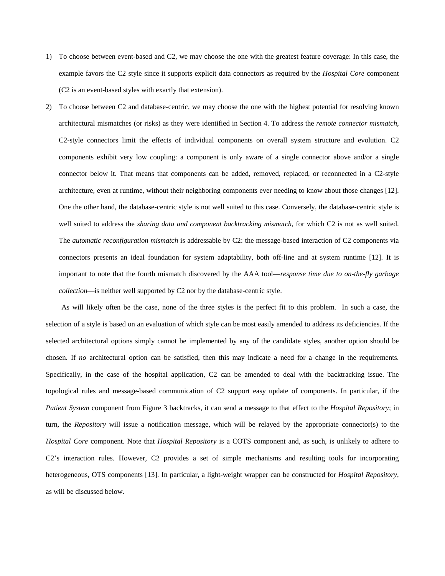- 1) To choose between event-based and C2, we may choose the one with the greatest feature coverage: In this case, the example favors the C2 style since it supports explicit data connectors as required by the *Hospital Core* component (C2 is an event-based styles with exactly that extension).
- 2) To choose between C2 and database-centric, we may choose the one with the highest potential for resolving known architectural mismatches (or risks) as they were identified in Section 4. To address the *remote connector mismatch*, C2-style connectors limit the effects of individual components on overall system structure and evolution. C2 components exhibit very low coupling: a component is only aware of a single connector above and/or a single connector below it. That means that components can be added, removed, replaced, or reconnected in a C2-style architecture, even at runtime, without their neighboring components ever needing to know about those changes [12]. One the other hand, the database-centric style is not well suited to this case. Conversely, the database-centric style is well suited to address the *sharing data and component backtracking mismatch*, for which C2 is not as well suited. The *automatic reconfiguration mismatch* is addressable by C2: the message-based interaction of C2 components via connectors presents an ideal foundation for system adaptability, both off-line and at system runtime [12]. It is important to note that the fourth mismatch discovered by the AAA tool—*response time due to on-the-fly garbage collection*—is neither well supported by C2 nor by the database-centric style.

As will likely often be the case, none of the three styles is the perfect fit to this problem. In such a case, the selection of a style is based on an evaluation of which style can be most easily amended to address its deficiencies. If the selected architectural options simply cannot be implemented by any of the candidate styles, another option should be chosen. If *no* architectural option can be satisfied, then this may indicate a need for a change in the requirements. Specifically, in the case of the hospital application, C2 can be amended to deal with the backtracking issue. The topological rules and message-based communication of C2 support easy update of components. In particular, if the *Patient System* component from Figure 3 backtracks, it can send a message to that effect to the *Hospital Repository*; in turn, the *Repository* will issue a notification message, which will be relayed by the appropriate connector(s) to the *Hospital Core* component. Note that *Hospital Repository* is a COTS component and, as such, is unlikely to adhere to C2's interaction rules. However, C2 provides a set of simple mechanisms and resulting tools for incorporating heterogeneous, OTS components [13]. In particular, a light-weight wrapper can be constructed for *Hospital Repository*, as will be discussed below.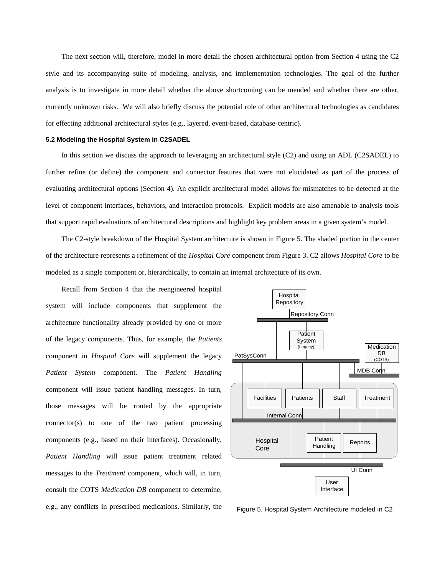The next section will, therefore, model in more detail the chosen architectural option from Section 4 using the C2 style and its accompanying suite of modeling, analysis, and implementation technologies. The goal of the further analysis is to investigate in more detail whether the above shortcoming can be mended and whether there are other, currently unknown risks. We will also briefly discuss the potential role of other architectural technologies as candidates for effecting additional architectural styles (e.g., layered, event-based, database-centric).

#### **5.2 Modeling the Hospital System in C2SADEL**

In this section we discuss the approach to leveraging an architectural style (C2) and using an ADL (C2SADEL) to further refine (or define) the component and connector features that were not elucidated as part of the process of evaluating architectural options (Section 4). An explicit architectural model allows for mismatches to be detected at the level of component interfaces, behaviors, and interaction protocols. Explicit models are also amenable to analysis tools that support rapid evaluations of architectural descriptions and highlight key problem areas in a given system's model.

The C2-style breakdown of the Hospital System architecture is shown in Figure 5. The shaded portion in the center of the architecture represents a refinement of the *Hospital Core* component from Figure 3. C2 allows *Hospital Core* to be modeled as a single component or, hierarchically, to contain an internal architecture of its own.

Recall from Section 4 that the reengineered hospital system will include components that supplement the architecture functionality already provided by one or more of the legacy components. Thus, for example, the *Patients* component in *Hospital Core* will supplement the legacy *Patient System* component. The *Patient Handling* component will issue patient handling messages. In turn, those messages will be routed by the appropriate connector(s) to one of the two patient processing components (e.g., based on their interfaces). Occasionally, *Patient Handling* will issue patient treatment related messages to the *Treatment* component, which will, in turn, consult the COTS *Medication DB* component to determine, e.g., any conflicts in prescribed medications. Similarly, the



Figure 5. Hospital System Architecture modeled in C2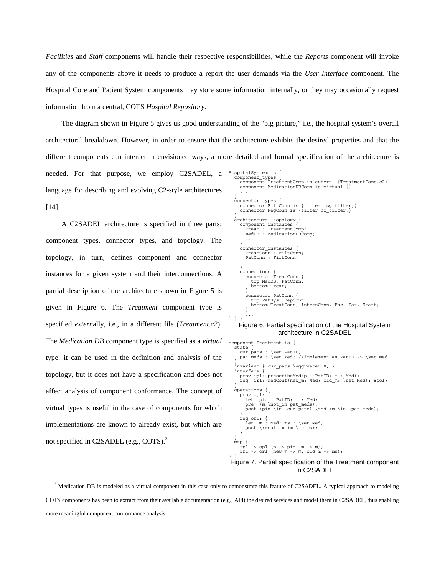*Facilities* and *Staff* components will handle their respective responsibilities, while the *Reports* component will invoke any of the components above it needs to produce a report the user demands via the *User Interface* component. The Hospital Core and Patient System components may store some information internally, or they may occasionally request information from a central, COTS *Hospital Repository*.

The diagram shown in Figure 5 gives us good understanding of the "big picture," i.e., the hospital system's overall architectural breakdown. However, in order to ensure that the architecture exhibits the desired properties and that the different components can interact in envisioned ways, a more detailed and formal specification of the architecture is needed. For that purpose, we employ C2SADEL, a language for describing and evolving C2-style architectures [14]. HospitalSystem is { component\_types { component TreatmentComp is extern {TreatmentComp.c2;} component MedicationDBComp is virtual {} ... } connector\_types {

A C2SADEL architecture is specified in three parts: component types, connector types, and topology. The topology, in turn, defines component and connector instances for a given system and their interconnections. A partial description of the architecture shown in Figure 5 is given in Figure 6. The *Treatment* component type is specified *extern*ally, i.e., in a different file (*Treatment.c2*). The *Medication DB* component type is specified as a *virtual* type: it can be used in the definition and analysis of the topology, but it does not have a specification and does not affect analysis of component conformance. The concept of virtual types is useful in the case of components for which implementations are known to already exist, but which are not specified in C2SADEL (e.g., COTS).<sup>3</sup>

 $\overline{a}$ 

```
 connector FiltConn is {filter msg_filter;} 
 connector RegConn is {filter no_filter;} 
 } 
   architectural topology {
     component instances
 Treat : TreatmentComp; 
 MedDB : MedicationDBComp; 
 ... 
 } 
      connector_instances { 
 TreatConn : FiltConn; 
 PatConn : FiltConn; 
          ... 
 } 
 connections { 
 connector TreatConn { 
 top MedDB, PatConn; 
            bottom Treat; 
\longrightarrow connector PatConn { 
 top PatSys, RepConn; 
 bottom TreatConn, InternConn, Fac, Pat, Staff; 
\longrightarrow ... 
} } }
```
#### Figure 6. Partial specification of the Hospital System architecture in C2SADEL

component Treatment is { state { cur\_pats : \set PatID: pat\_meds : \set Med; //implement as PatID -> \set Med; } invariant { cur pats  $\eqref{eq:1}$  interface { prov ip1: prescribeMed(p : PatID; m : Med);<br>req ir1: medConf(new m: Med; old m: \set Med): Bool; } operations { prov op1: { let pid : PatID; m : Med; pre (m \not in pat meds);<br>post (pid \in ~cur pats) \and (m \in ~pat meds); } req or1: { let m : Med; ms : \set Med; post \result = (m \in ms); } } map { ip1 -> op1 (p -> pid, m -> m);<br>ir1 -> or1 (new m -> m, old m -> ms); } } Figure 7. Partial specification of the Treatment component in C2SADEL

<sup>&</sup>lt;sup>3</sup> Medication DB is modeled as a virtual component in this case only to demonstrate this feature of C2SADEL. A typical approach to modeling COTS components has been to extract from their available documentation (e.g., API) the desired services and model them in C2SADEL, thus enabling more meaningful component conformance analysis.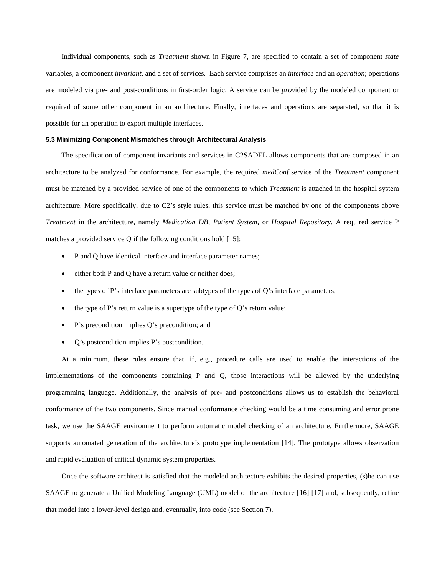Individual components, such as *Treatment* shown in Figure 7, are specified to contain a set of component *state* variables, a component *invariant*, and a set of services. Each service comprises an *interface* and an *operation*; operations are modeled via pre- and post-conditions in first-order logic. A service can be *prov*ided by the modeled component or *req*uired of some other component in an architecture. Finally, interfaces and operations are separated, so that it is possible for an operation to export multiple interfaces.

#### **5.3 Minimizing Component Mismatches through Architectural Analysis**

The specification of component invariants and services in C2SADEL allows components that are composed in an architecture to be analyzed for conformance. For example, the required *medConf* service of the *Treatment* component must be matched by a provided service of one of the components to which *Treatment* is attached in the hospital system architecture. More specifically, due to C2's style rules, this service must be matched by one of the components above *Treatment* in the architecture, namely *Medication DB*, *Patient System*, or *Hospital Repository*. A required service P matches a provided service Q if the following conditions hold [15]:

- P and Q have identical interface and interface parameter names;
- either both P and Q have a return value or neither does;
- the types of P's interface parameters are subtypes of the types of Q's interface parameters;
- the type of P's return value is a supertype of the type of  $Q$ 's return value;
- P's precondition implies Q's precondition; and
- Q's postcondition implies P's postcondition.

At a minimum, these rules ensure that, if, e.g., procedure calls are used to enable the interactions of the implementations of the components containing P and Q, those interactions will be allowed by the underlying programming language. Additionally, the analysis of pre- and postconditions allows us to establish the behavioral conformance of the two components. Since manual conformance checking would be a time consuming and error prone task, we use the SAAGE environment to perform automatic model checking of an architecture. Furthermore, SAAGE supports automated generation of the architecture's prototype implementation [14]. The prototype allows observation and rapid evaluation of critical dynamic system properties.

Once the software architect is satisfied that the modeled architecture exhibits the desired properties, (s)he can use SAAGE to generate a Unified Modeling Language (UML) model of the architecture [16] [17] and, subsequently, refine that model into a lower-level design and, eventually, into code (see Section 7).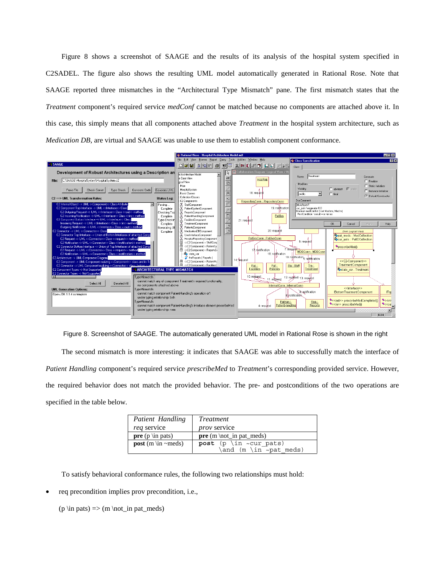Figure 8 shows a screenshot of SAAGE and the results of its analysis of the hospital system specified in C2SADEL. The figure also shows the resulting UML model automatically generated in Rational Rose. Note that SAAGE reported three mismatches in the "Architectural Type Mismatch" pane. The first mismatch states that the *Treatment* component's required service *medConf* cannot be matched because no components are attached above it. In this case, this simply means that all components attached above *Treatment* in the hospital system architecture, such as *Medication DB*, are virtual and SAAGE was unable to use them to establish component conformance.



Figure 8. Screenshot of SAAGE. The automatically generated UML model in Rational Rose is shown in the right

The second mismatch is more interesting: it indicates that SAAGE was able to successfully match the interface of *Patient Handling* component's required service *prescribeMed* to *Treatment*'s corresponding provided service. However, the required behavior does not match the provided behavior. The pre- and postconditions of the two operations are specified in the table below.

| Patient Handling                  | <i>Treatment</i>             |  |  |
|-----------------------------------|------------------------------|--|--|
| <i>req</i> service                | <i>prov</i> service          |  |  |
| <b>pre</b> ( $p \in \mathbb{R}$ ) | $pre(m \not\in in pat_meds)$ |  |  |
| <b>post</b> (m \in ~meds)         | post (p \in ~cur pats)       |  |  |
|                                   | \and (m \in ~pat meds)       |  |  |

To satisfy behavioral conformance rules, the following two relationships must hold:

req precondition implies prov precondition, i.e.,

 $(p \in \text{pats}) \Rightarrow (m \cdot \text{in pat\_meds})$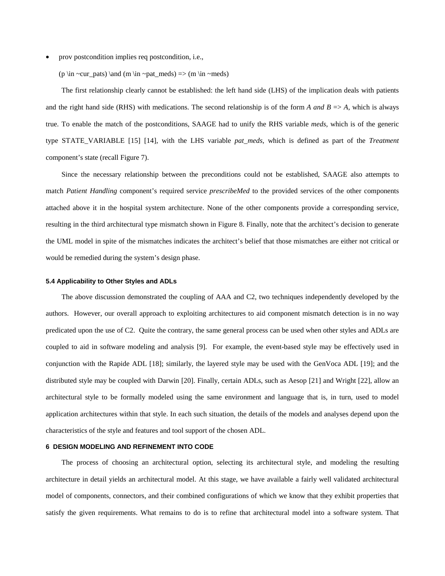• prov postcondition implies req postcondition, i.e.,

(p \in ~cur\_pats) \and (m \in ~pat\_meds) => (m \in ~meds)

The first relationship clearly cannot be established: the left hand side (LHS) of the implication deals with patients and the right hand side (RHS) with medications. The second relationship is of the form *A and B*  $\Rightarrow$  *A*, which is always true. To enable the match of the postconditions, SAAGE had to unify the RHS variable *meds*, which is of the generic type STATE\_VARIABLE [15] [14], with the LHS variable *pat\_meds*, which is defined as part of the *Treatment* component's state (recall Figure 7).

Since the necessary relationship between the preconditions could not be established, SAAGE also attempts to match *Patient Handling* component's required service *prescribeMed* to the provided services of the other components attached above it in the hospital system architecture. None of the other components provide a corresponding service, resulting in the third architectural type mismatch shown in Figure 8. Finally, note that the architect's decision to generate the UML model in spite of the mismatches indicates the architect's belief that those mismatches are either not critical or would be remedied during the system's design phase.

#### **5.4 Applicability to Other Styles and ADLs**

The above discussion demonstrated the coupling of AAA and C2, two techniques independently developed by the authors. However, our overall approach to exploiting architectures to aid component mismatch detection is in no way predicated upon the use of C2. Quite the contrary, the same general process can be used when other styles and ADLs are coupled to aid in software modeling and analysis [9]. For example, the event-based style may be effectively used in conjunction with the Rapide ADL [18]; similarly, the layered style may be used with the GenVoca ADL [19]; and the distributed style may be coupled with Darwin [20]. Finally, certain ADLs, such as Aesop [21] and Wright [22], allow an architectural style to be formally modeled using the same environment and language that is, in turn, used to model application architectures within that style. In each such situation, the details of the models and analyses depend upon the characteristics of the style and features and tool support of the chosen ADL.

#### **6 DESIGN MODELING AND REFINEMENT INTO CODE**

The process of choosing an architectural option, selecting its architectural style, and modeling the resulting architecture in detail yields an architectural model. At this stage, we have available a fairly well validated architectural model of components, connectors, and their combined configurations of which we know that they exhibit properties that satisfy the given requirements. What remains to do is to refine that architectural model into a software system. That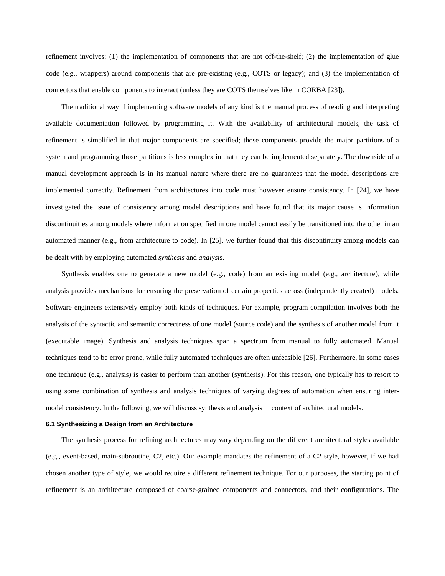refinement involves: (1) the implementation of components that are not off-the-shelf; (2) the implementation of glue code (e.g., wrappers) around components that are pre-existing (e.g., COTS or legacy); and (3) the implementation of connectors that enable components to interact (unless they are COTS themselves like in CORBA [23]).

The traditional way if implementing software models of any kind is the manual process of reading and interpreting available documentation followed by programming it. With the availability of architectural models, the task of refinement is simplified in that major components are specified; those components provide the major partitions of a system and programming those partitions is less complex in that they can be implemented separately. The downside of a manual development approach is in its manual nature where there are no guarantees that the model descriptions are implemented correctly. Refinement from architectures into code must however ensure consistency. In [24], we have investigated the issue of consistency among model descriptions and have found that its major cause is information discontinuities among models where information specified in one model cannot easily be transitioned into the other in an automated manner (e.g., from architecture to code). In [25], we further found that this discontinuity among models can be dealt with by employing automated *synthesis* and *analysi*s.

Synthesis enables one to generate a new model (e.g., code) from an existing model (e.g., architecture), while analysis provides mechanisms for ensuring the preservation of certain properties across (independently created) models. Software engineers extensively employ both kinds of techniques. For example, program compilation involves both the analysis of the syntactic and semantic correctness of one model (source code) and the synthesis of another model from it (executable image). Synthesis and analysis techniques span a spectrum from manual to fully automated. Manual techniques tend to be error prone, while fully automated techniques are often unfeasible [26]. Furthermore, in some cases one technique (e.g., analysis) is easier to perform than another (synthesis). For this reason, one typically has to resort to using some combination of synthesis and analysis techniques of varying degrees of automation when ensuring intermodel consistency. In the following, we will discuss synthesis and analysis in context of architectural models.

#### **6.1 Synthesizing a Design from an Architecture**

The synthesis process for refining architectures may vary depending on the different architectural styles available (e.g., event-based, main-subroutine, C2, etc.). Our example mandates the refinement of a C2 style, however, if we had chosen another type of style, we would require a different refinement technique. For our purposes, the starting point of refinement is an architecture composed of coarse-grained components and connectors, and their configurations. The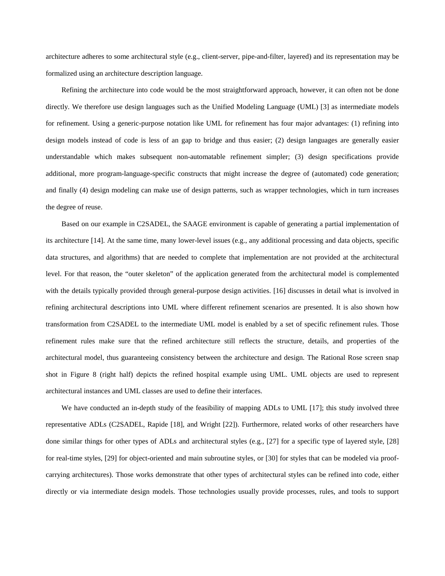architecture adheres to some architectural style (e.g., client-server, pipe-and-filter, layered) and its representation may be formalized using an architecture description language.

Refining the architecture into code would be the most straightforward approach, however, it can often not be done directly. We therefore use design languages such as the Unified Modeling Language (UML) [3] as intermediate models for refinement. Using a generic-purpose notation like UML for refinement has four major advantages: (1) refining into design models instead of code is less of an gap to bridge and thus easier; (2) design languages are generally easier understandable which makes subsequent non-automatable refinement simpler; (3) design specifications provide additional, more program-language-specific constructs that might increase the degree of (automated) code generation; and finally (4) design modeling can make use of design patterns, such as wrapper technologies, which in turn increases the degree of reuse.

Based on our example in C2SADEL, the SAAGE environment is capable of generating a partial implementation of its architecture [14]. At the same time, many lower-level issues (e.g., any additional processing and data objects, specific data structures, and algorithms) that are needed to complete that implementation are not provided at the architectural level. For that reason, the "outer skeleton" of the application generated from the architectural model is complemented with the details typically provided through general-purpose design activities. [16] discusses in detail what is involved in refining architectural descriptions into UML where different refinement scenarios are presented. It is also shown how transformation from C2SADEL to the intermediate UML model is enabled by a set of specific refinement rules. Those refinement rules make sure that the refined architecture still reflects the structure, details, and properties of the architectural model, thus guaranteeing consistency between the architecture and design. The Rational Rose screen snap shot in Figure 8 (right half) depicts the refined hospital example using UML. UML objects are used to represent architectural instances and UML classes are used to define their interfaces.

We have conducted an in-depth study of the feasibility of mapping ADLs to UML [17]; this study involved three representative ADLs (C2SADEL, Rapide [18], and Wright [22]). Furthermore, related works of other researchers have done similar things for other types of ADLs and architectural styles (e.g., [27] for a specific type of layered style, [28] for real-time styles, [29] for object-oriented and main subroutine styles, or [30] for styles that can be modeled via proofcarrying architectures). Those works demonstrate that other types of architectural styles can be refined into code, either directly or via intermediate design models. Those technologies usually provide processes, rules, and tools to support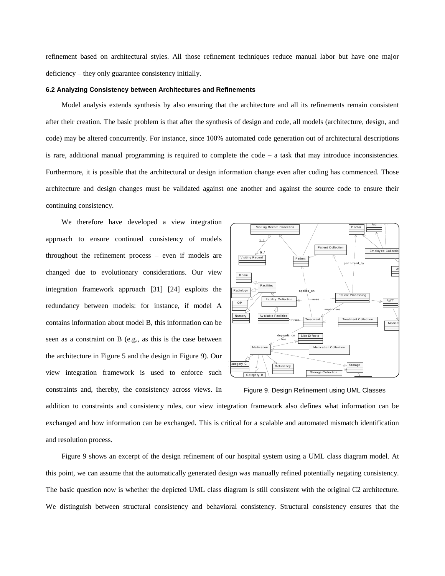refinement based on architectural styles. All those refinement techniques reduce manual labor but have one major deficiency – they only guarantee consistency initially.

#### **6.2 Analyzing Consistency between Architectures and Refinements**

Model analysis extends synthesis by also ensuring that the architecture and all its refinements remain consistent after their creation. The basic problem is that after the synthesis of design and code, all models (architecture, design, and code) may be altered concurrently. For instance, since 100% automated code generation out of architectural descriptions is rare, additional manual programming is required to complete the code – a task that may introduce inconsistencies. Furthermore, it is possible that the architectural or design information change even after coding has commenced. Those architecture and design changes must be validated against one another and against the source code to ensure their continuing consistency.

We therefore have developed a view integration approach to ensure continued consistency of models throughout the refinement process – even if models are changed due to evolutionary considerations. Our view integration framework approach [31] [24] exploits the redundancy between models: for instance, if model A contains information about model B, this information can be seen as a constraint on B (e.g., as this is the case between the architecture in Figure 5 and the design in Figure 9). Our view integration framework is used to enforce such constraints and, thereby, the consistency across views. In



Figure 9. Design Refinement using UML Classes

addition to constraints and consistency rules, our view integration framework also defines what information can be exchanged and how information can be exchanged. This is critical for a scalable and automated mismatch identification and resolution process.

Figure 9 shows an excerpt of the design refinement of our hospital system using a UML class diagram model. At this point, we can assume that the automatically generated design was manually refined potentially negating consistency. The basic question now is whether the depicted UML class diagram is still consistent with the original C2 architecture. We distinguish between structural consistency and behavioral consistency. Structural consistency ensures that the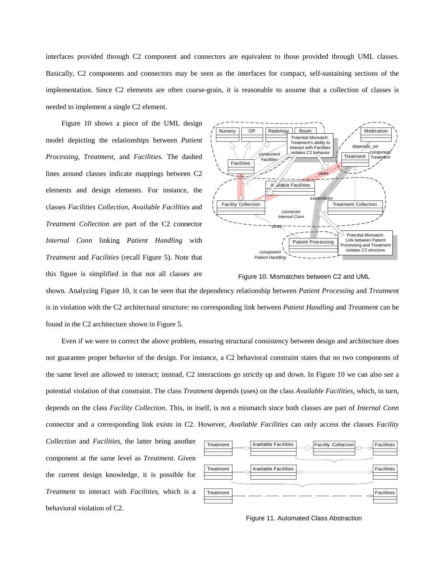interfaces provided through C2 component and connectors are equivalent to those provided through UML classes. Basically, C2 components and connectors may be seen as the interfaces for compact, self-sustaining sections of the implementation. Since C2 elements are often coarse-grain, it is reasonable to assume that a collection of classes is needed to implement a single C2 element.

Figure 10 shows a piece of the UML design model depicting the relationships between *Patient Processing*, *Treatment*, and *Facilities*. The dashed lines around classes indicate mappings between C2 elements and design elements. For instance, the classes *Facilities Collection*, *Available Facilities* and *Treatment Collection* are part of the C2 connector *Internal Conn* linking *Patient Handling* with *Treatment* and *Facilities* (recall Figure 5). Note that this figure is simplified in that not all classes are



Figure 10. Mismatches between C2 and UML

shown. Analyzing Figure 10, it can be seen that the dependency relationship between *Patient Processing* and *Treatment* is in violation with the C2 architectural structure: no corresponding link between *Patient Handling* and *Treatment* can be found in the C2 architecture shown in Figure 5.

Even if we were to correct the above problem, ensuring structural consistency between design and architecture does not guarantee proper behavior of the design. For instance, a C2 behavioral constraint states that no two components of the same level are allowed to interact; instead, C2 interactions go strictly up and down. In Figure 10 we can also see a potential violation of that constraint. The class *Treatment* depends (uses) on the class *Available Facilities*, which, in turn, depends on the class *Facility Collection*. This, in itself, is not a mismatch since both classes are part of *Internal Conn* connector and a corresponding link exists in C2. However, *Available Facilities* can only access the classes F*acility* 

*Collection* and *Facilities,* the latter being another component at the same level as *Treatment*. Given the current design knowledge, it is possible for *Treatment* to interact with *Facilities*, which is a behavioral violation of C2.



Figure 11. Automated Class Abstraction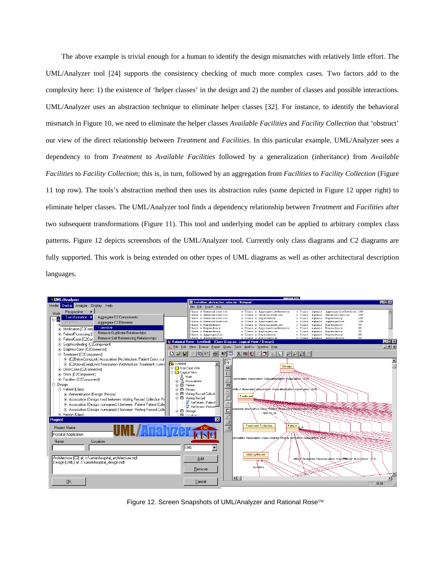The above example is trivial enough for a human to identify the design mismatches with relatively little effort. The UML/Analyzer tool [24] supports the consistency checking of much more complex cases. Two factors add to the complexity here: 1) the existence of 'helper classes' in the design and 2) the number of classes and possible interactions. UML/Analyzer uses an abstraction technique to eliminate helper classes [32]. For instance, to identify the behavioral mismatch in Figure 10, we need to eliminate the helper classes *Available Facilities* and *Facility Collection* that 'obstruct' our view of the direct relationship between *Treatment* and *Facilities*. In this particular example, UML/Analyzer sees a dependency to from *Treatment* to *Available Facilities* followed by a generalization (inheritance) from *Available Facilities* to *Facility Collection*; this is, in turn, followed by an aggregation from *Facilities* to *Facility Collection* (Figure 11 top row). The tools's abstraction method then uses its abstraction rules (some depicted in Figure 12 upper right) to eliminate helper classes. The UML/Analyzer tool finds a dependency relationship between *Treatment* and *Facilities* after two subsequent transformations (Figure 11). This tool and underlying model can be applied to arbitrary complex class patterns. Figure 12 depicts screenshots of the UML/Analyzer tool. Currently only class diagrams and C2 diagrams are fully supported. This work is being extended on other types of UML diagrams as well as other architectural description languages.



Figure 12. Screen Snapshots of UML/Analyzer and Rational Rose™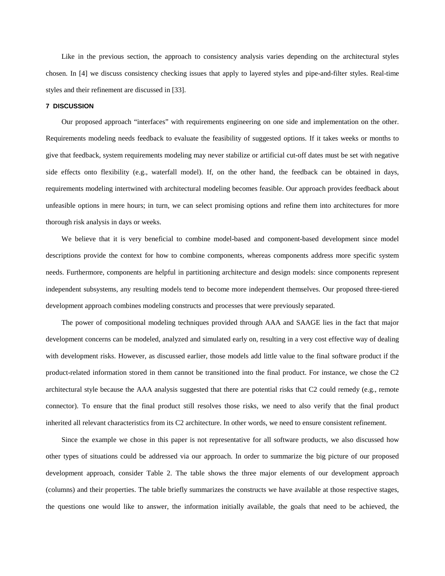Like in the previous section, the approach to consistency analysis varies depending on the architectural styles chosen. In [4] we discuss consistency checking issues that apply to layered styles and pipe-and-filter styles. Real-time styles and their refinement are discussed in [33].

#### **7 DISCUSSION**

Our proposed approach "interfaces" with requirements engineering on one side and implementation on the other. Requirements modeling needs feedback to evaluate the feasibility of suggested options. If it takes weeks or months to give that feedback, system requirements modeling may never stabilize or artificial cut-off dates must be set with negative side effects onto flexibility (e.g., waterfall model). If, on the other hand, the feedback can be obtained in days, requirements modeling intertwined with architectural modeling becomes feasible. Our approach provides feedback about unfeasible options in mere hours; in turn, we can select promising options and refine them into architectures for more thorough risk analysis in days or weeks.

We believe that it is very beneficial to combine model-based and component-based development since model descriptions provide the context for how to combine components, whereas components address more specific system needs. Furthermore, components are helpful in partitioning architecture and design models: since components represent independent subsystems, any resulting models tend to become more independent themselves. Our proposed three-tiered development approach combines modeling constructs and processes that were previously separated.

The power of compositional modeling techniques provided through AAA and SAAGE lies in the fact that major development concerns can be modeled, analyzed and simulated early on, resulting in a very cost effective way of dealing with development risks. However, as discussed earlier, those models add little value to the final software product if the product-related information stored in them cannot be transitioned into the final product. For instance, we chose the C2 architectural style because the AAA analysis suggested that there are potential risks that C2 could remedy (e.g., remote connector). To ensure that the final product still resolves those risks, we need to also verify that the final product inherited all relevant characteristics from its C2 architecture. In other words, we need to ensure consistent refinement.

Since the example we chose in this paper is not representative for all software products, we also discussed how other types of situations could be addressed via our approach. In order to summarize the big picture of our proposed development approach, consider Table 2. The table shows the three major elements of our development approach (columns) and their properties. The table briefly summarizes the constructs we have available at those respective stages, the questions one would like to answer, the information initially available, the goals that need to be achieved, the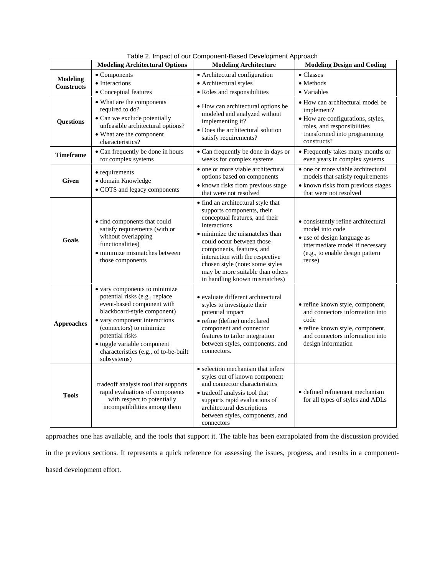|                                      | <b>Modeling Architectural Options</b>                                                                                                                                                                                                                                                               | Table 2. Impact of our Component-Based Development Approach<br><b>Modeling Architecture</b>                                                                                                                                                                                                                                                               | <b>Modeling Design and Coding</b>                                                                                                                                        |
|--------------------------------------|-----------------------------------------------------------------------------------------------------------------------------------------------------------------------------------------------------------------------------------------------------------------------------------------------------|-----------------------------------------------------------------------------------------------------------------------------------------------------------------------------------------------------------------------------------------------------------------------------------------------------------------------------------------------------------|--------------------------------------------------------------------------------------------------------------------------------------------------------------------------|
|                                      | • Components                                                                                                                                                                                                                                                                                        | • Architectural configuration                                                                                                                                                                                                                                                                                                                             | $\bullet$ Classes                                                                                                                                                        |
| <b>Modeling</b><br><b>Constructs</b> | • Interactions                                                                                                                                                                                                                                                                                      | • Architectural styles                                                                                                                                                                                                                                                                                                                                    | • Methods                                                                                                                                                                |
|                                      | • Conceptual features                                                                                                                                                                                                                                                                               | • Roles and responsibilities                                                                                                                                                                                                                                                                                                                              | • Variables                                                                                                                                                              |
| <b>Questions</b>                     | • What are the components<br>required to do?<br>• Can we exclude potentially<br>unfeasible architectural options?<br>• What are the component<br>characteristics?                                                                                                                                   | • How can architectural options be<br>modeled and analyzed without<br>implementing it?<br>• Does the architectural solution<br>satisfy requirements?                                                                                                                                                                                                      | · How can architectural model be<br>implement?<br>• How are configurations, styles,<br>roles, and responsibilities<br>transformed into programming<br>constructs?        |
| <b>Timeframe</b>                     | • Can frequently be done in hours<br>for complex systems                                                                                                                                                                                                                                            | • Can frequently be done in days or<br>weeks for complex systems                                                                                                                                                                                                                                                                                          | • Frequently takes many months or<br>even years in complex systems                                                                                                       |
| <b>Given</b>                         | • requirements<br>• domain Knowledge<br>• COTS and legacy components                                                                                                                                                                                                                                | • one or more viable architectural<br>options based on components<br>• known risks from previous stage<br>that were not resolved                                                                                                                                                                                                                          | • one or more viable architectural<br>models that satisfy requirements<br>• known risks from previous stages<br>that were not resolved                                   |
| Goals                                | • find components that could<br>satisfy requirements (with or<br>without overlapping<br>functionalities)<br>· minimize mismatches between<br>those components                                                                                                                                       | • find an architectural style that<br>supports components, their<br>conceptual features, and their<br>interactions<br>• minimize the mismatches than<br>could occur between those<br>components, features, and<br>interaction with the respective<br>chosen style (note: some styles<br>may be more suitable than others<br>in handling known mismatches) | • consistently refine architectural<br>model into code<br>• use of design language as<br>intermediate model if necessary<br>(e.g., to enable design pattern<br>reuse)    |
| <b>Approaches</b>                    | • vary components to minimize<br>potential risks (e.g., replace<br>event-based component with<br>blackboard-style component)<br>• vary component interactions<br>(connectors) to minimize<br>potential risks<br>• toggle variable component<br>characteristics (e.g., of to-be-built<br>subsystems) | · evaluate different architectural<br>styles to investigate their<br>potential impact<br>• refine (define) undeclared<br>component and connector<br>features to tailor integration<br>between styles, components, and<br>connectors.                                                                                                                      | • refine known style, component,<br>and connectors information into<br>code<br>· refine known style, component,<br>and connectors information into<br>design information |
| <b>Tools</b>                         | tradeoff analysis tool that supports<br>rapid evaluations of components<br>with respect to potentially<br>incompatibilities among them                                                                                                                                                              | • selection mechanism that infers<br>styles out of known component<br>and connector characteristics<br>• tradeoff analysis tool that<br>supports rapid evaluations of<br>architectural descriptions<br>between styles, components, and<br>connectors                                                                                                      | • defined refinement mechanism<br>for all types of styles and ADLs                                                                                                       |

Table 2. Impact of our Component-Based Development Approach

approaches one has available, and the tools that support it. The table has been extrapolated from the discussion provided in the previous sections. It represents a quick reference for assessing the issues, progress, and results in a componentbased development effort.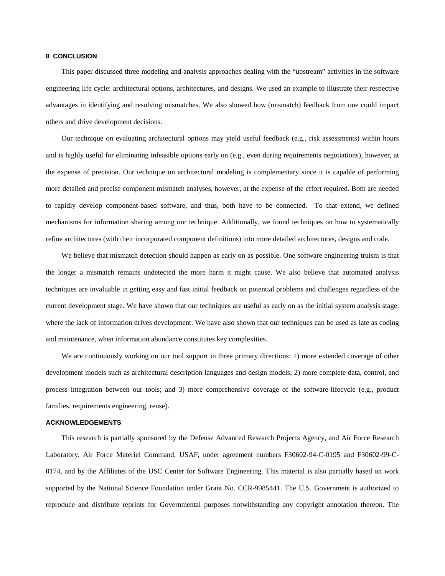#### **8 CONCLUSION**

This paper discussed three modeling and analysis approaches dealing with the "upstream" activities in the software engineering life cycle: architectural options, architectures, and designs. We used an example to illustrate their respective advantages in identifying and resolving mismatches. We also showed how (mismatch) feedback from one could impact others and drive development decisions.

Our technique on evaluating architectural options may yield useful feedback (e.g., risk assessments) within hours and is highly useful for eliminating infeasible options early on (e.g., even during requirements negotiations), however, at the expense of precision. Our technique on architectural modeling is complementary since it is capable of performing more detailed and precise component mismatch analyses, however, at the expense of the effort required. Both are needed to rapidly develop component-based software, and thus, both have to be connected. To that extend, we defined mechanisms for information sharing among our technique. Additionally, we found techniques on how to systematically refine architectures (with their incorporated component definitions) into more detailed architectures, designs and code.

We believe that mismatch detection should happen as early on as possible. One software engineering truism is that the longer a mismatch remains undetected the more harm it might cause. We also believe that automated analysis techniques are invaluable in getting easy and fast initial feedback on potential problems and challenges regardless of the current development stage. We have shown that our techniques are useful as early on as the initial system analysis stage, where the lack of information drives development. We have also shown that our techniques can be used as late as coding and maintenance, when information abundance constitutes key complexities.

We are continuously working on our tool support in three primary directions: 1) more extended coverage of other development models such as architectural description languages and design models; 2) more complete data, control, and process integration between our tools; and 3) more comprehensive coverage of the software-lifecycle (e.g., product families, requirements engineering, reuse).

#### **ACKNOWLEDGEMENTS**

This research is partially sponsored by the Defense Advanced Research Projects Agency, and Air Force Research Laboratory, Air Force Materiel Command, USAF, under agreement numbers F30602-94-C-0195 and F30602-99-C-0174, and by the Affiliates of the USC Center for Software Engineering. This material is also partially based on work supported by the National Science Foundation under Grant No. CCR-9985441. The U.S. Government is authorized to reproduce and distribute reprints for Governmental purposes notwithstanding any copyright annotation thereon. The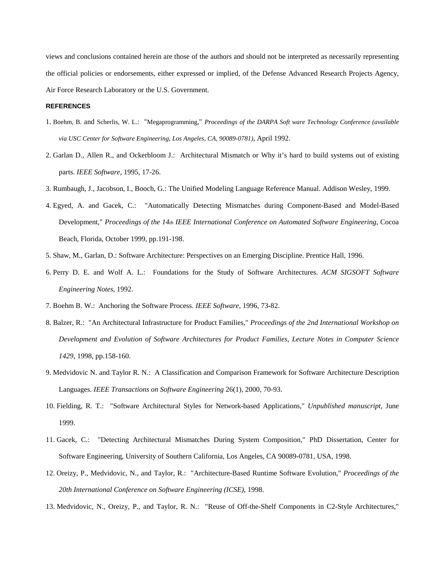views and conclusions contained herein are those of the authors and should not be interpreted as necessarily representing the official policies or endorsements, either expressed or implied, of the Defense Advanced Research Projects Agency, Air Force Research Laboratory or the U.S. Government.

#### **REFERENCES**

- 1. Boehm, B. and Scherlis, W. L.: "Megaprogramming," *Proceedings of the DARPA Soft ware Technology Conference (available via USC Center for Software Engineering, Los Angeles, CA, 90089-0781)*, April 1992.
- 2. Garlan D., Allen R., and Ockerbloom J.: Architectural Mismatch or Why it's hard to build systems out of existing parts. *IEEE Software*, 1995, 17-26.
- 3. Rumbaugh, J., Jacobson, I., Booch, G.: The Unified Modeling Language Reference Manual. Addison Wesley, 1999.
- 4. Egyed, A. and Gacek, C.: "Automatically Detecting Mismatches during Component-Based and Model-Based Development," *Proceedings of the 14th IEEE International Conference on Automated Software Engineering*, Cocoa Beach, Florida, October 1999, pp.191-198.
- 5. Shaw, M., Garlan, D.: Software Architecture: Perspectives on an Emerging Discipline. Prentice Hall, 1996.
- 6. Perry D. E. and Wolf A. L.: Foundations for the Study of Software Architectures. *ACM SIGSOFT Software Engineering Notes*, 1992.
- 7. Boehm B. W.: Anchoring the Software Process. *IEEE Software*, 1996, 73-82.
- 8. Balzer, R.: "An Architectural Infrastructure for Product Families," *Proceedings of the 2nd International Workshop on Development and Evolution of Software Architectures for Product Families, Lecture Notes in Computer Science 1429*, 1998, pp.158-160.
- 9. Medvidovic N. and Taylor R. N.: A Classification and Comparison Framework for Software Architecture Description Languages. *IEEE Transactions on Software Engineering* 26(1), 2000, 70-93.
- 10. Fielding, R. T.: "Software Architectural Styles for Network-based Applications," *Unpublished manuscript*, June 1999.
- 11. Gacek, C.: "Detecting Architectural Mismatches During System Composition," PhD Dissertation, Center for Software Engineering, University of Southern California, Los Angeles, CA 90089-0781, USA, 1998.
- 12. Oreizy, P., Medvidovic, N., and Taylor, R.: "Architecture-Based Runtime Software Evolution," *Proceedings of the 20th International Conference on Software Engineering (ICSE)*, 1998.
- 13. Medvidovic, N., Oreizy, P., and Taylor, R. N.: "Reuse of Off-the-Shelf Components in C2-Style Architectures,"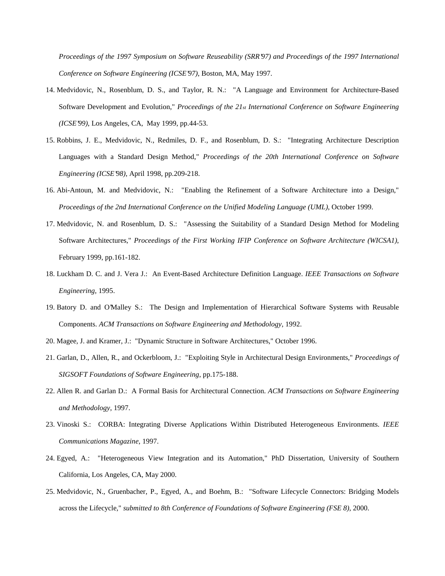*Proceedings of the 1997 Symposium on Software Reuseability (SRR'97) and Proceedings of the 1997 International Conference on Software Engineering (ICSE'97)*, Boston, MA, May 1997.

- 14. Medvidovic, N., Rosenblum, D. S., and Taylor, R. N.: "A Language and Environment for Architecture-Based Software Development and Evolution," *Proceedings of the 21st International Conference on Software Engineering (ICSE'99)*, Los Angeles, CA, May 1999, pp.44-53.
- 15. Robbins, J. E., Medvidovic, N., Redmiles, D. F., and Rosenblum, D. S.: "Integrating Architecture Description Languages with a Standard Design Method," *Proceedings of the 20th International Conference on Software Engineering (ICSE'98)*, April 1998, pp.209-218.
- 16. Abi-Antoun, M. and Medvidovic, N.: "Enabling the Refinement of a Software Architecture into a Design," *Proceedings of the 2nd International Conference on the Unified Modeling Language (UML)*, October 1999.
- 17. Medvidovic, N. and Rosenblum, D. S.: "Assessing the Suitability of a Standard Design Method for Modeling Software Architectures," *Proceedings of the First Working IFIP Conference on Software Architecture (WICSA1)*, February 1999, pp.161-182.
- 18. Luckham D. C. and J. Vera J.: An Event-Based Architecture Definition Language. *IEEE Transactions on Software Engineering*, 1995.
- 19. Batory D. and O'Malley S.: The Design and Implementation of Hierarchical Software Systems with Reusable Components. *ACM Transactions on Software Engineering and Methodology*, 1992.
- 20. Magee, J. and Kramer, J.: "Dynamic Structure in Software Architectures," October 1996.
- 21. Garlan, D., Allen, R., and Ockerbloom, J.: "Exploiting Style in Architectural Design Environments," *Proceedings of SIGSOFT Foundations of Software Engineering*, pp.175-188.
- 22. Allen R. and Garlan D.: A Formal Basis for Architectural Connection. *ACM Transactions on Software Engineering and Methodology*, 1997.
- 23. Vinoski S.: CORBA: Integrating Diverse Applications Within Distributed Heterogeneous Environments. *IEEE Communications Magazine*, 1997.
- 24. Egyed, A.: "Heterogeneous View Integration and its Automation," PhD Dissertation, University of Southern California, Los Angeles, CA, May 2000.
- 25. Medvidovic, N., Gruenbacher, P., Egyed, A., and Boehm, B.: "Software Lifecycle Connectors: Bridging Models across the Lifecycle," *submitted to 8th Conference of Foundations of Software Engineering (FSE 8)*, 2000.